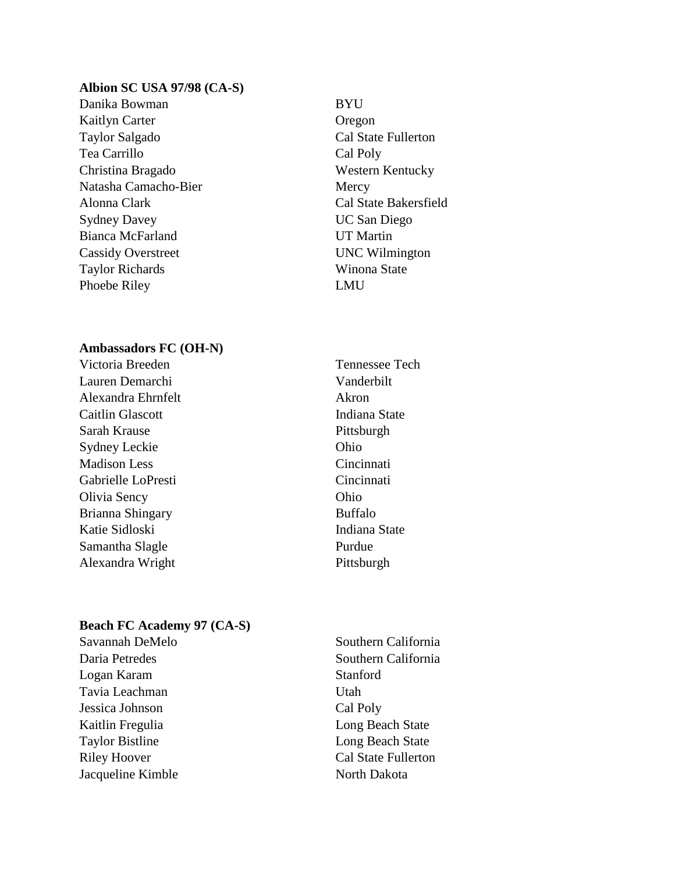## **Albion SC USA 97/98 (CA-S)**

- Danika Bowman BYU Kaitlyn Carter **Oregon** Taylor Salgado Cal State Fullerton Tea Carrillo Cal Poly Christina Bragado Western Kentucky Natasha Camacho-Bier Mercy Alonna Clark Cal State Bakersfield Sydney Davey UC San Diego Bianca McFarland UT Martin Cassidy Overstreet UNC Wilmington Taylor Richards Winona State Phoebe Riley LMU
	-

# **Ambassadors FC (OH-N)**

- Lauren Demarchi Vanderbilt Alexandra Ehrnfelt Akron Caitlin Glascott **Indiana** State Sarah Krause Pittsburgh Sydney Leckie Ohio Madison Less Cincinnati Gabrielle LoPresti Cincinnati Olivia Sency Ohio Brianna Shingary Buffalo Katie Sidloski **Indiana State** Samantha Slagle Purdue Alexandra Wright Pittsburgh
- Victoria Breeden Tennessee Tech

## **Beach FC Academy 97 (CA-S)**

- Logan Karam Stanford Tavia Leachman Utah Jessica Johnson Cal Poly Kaitlin Fregulia **Long Beach State** Taylor Bistline Long Beach State Riley Hoover Cal State Fullerton Jacqueline Kimble North Dakota
- Savannah DeMelo Southern California Daria Petredes Southern California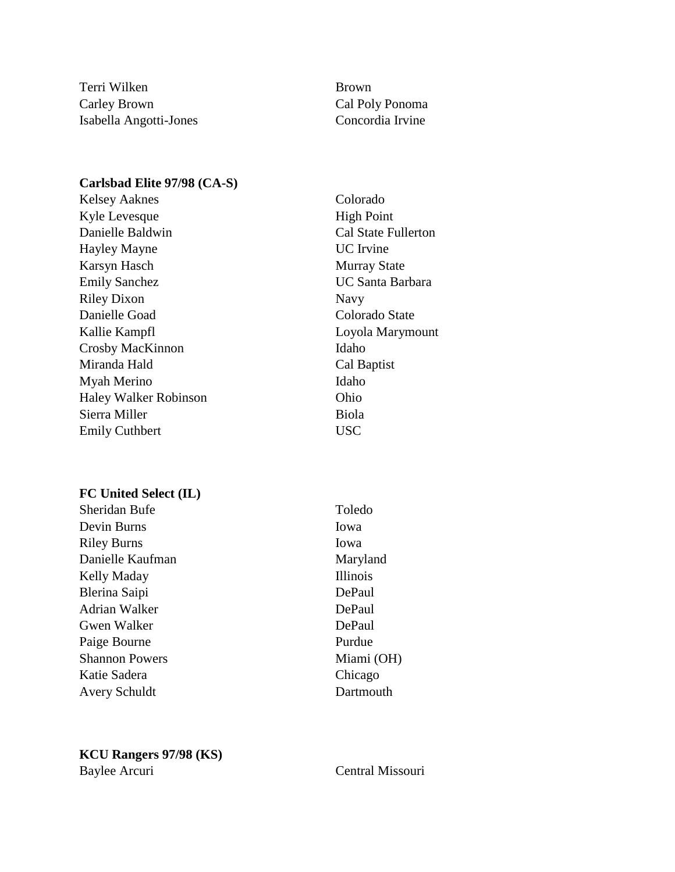Terri Wilken Brown Carley Brown Cal Poly Ponoma Isabella Angotti-Jones Concordia Irvine

# **Carlsbad Elite 97/98 (CA-S)**

Kelsey Aaknes Colorado Kyle Levesque High Point Danielle Baldwin Cal State Fullerton Hayley Mayne UC Irvine Karsyn Hasch Murray State Emily Sanchez UC Santa Barbara Riley Dixon Navy Danielle Goad Colorado State Kallie Kampfl<br>
Loyola Marymount Crosby MacKinnon Idaho Miranda Hald Cal Baptist Myah Merino Idaho Haley Walker Robinson Ohio Sierra Miller Biola Emily Cuthbert USC

# **FC United Select (IL)**

Sheridan Bufe Toledo Devin Burns Iowa Riley Burns Iowa Danielle Kaufman Maryland Kelly Maday **Illinois** Blerina Saipi DePaul Adrian Walker DePaul Gwen Walker DePaul Paige Bourne Purdue Shannon Powers Miami (OH) Katie Sadera Chicago Avery Schuldt Dartmouth

# **KCU Rangers 97/98 (KS)** Baylee Arcuri Central Missouri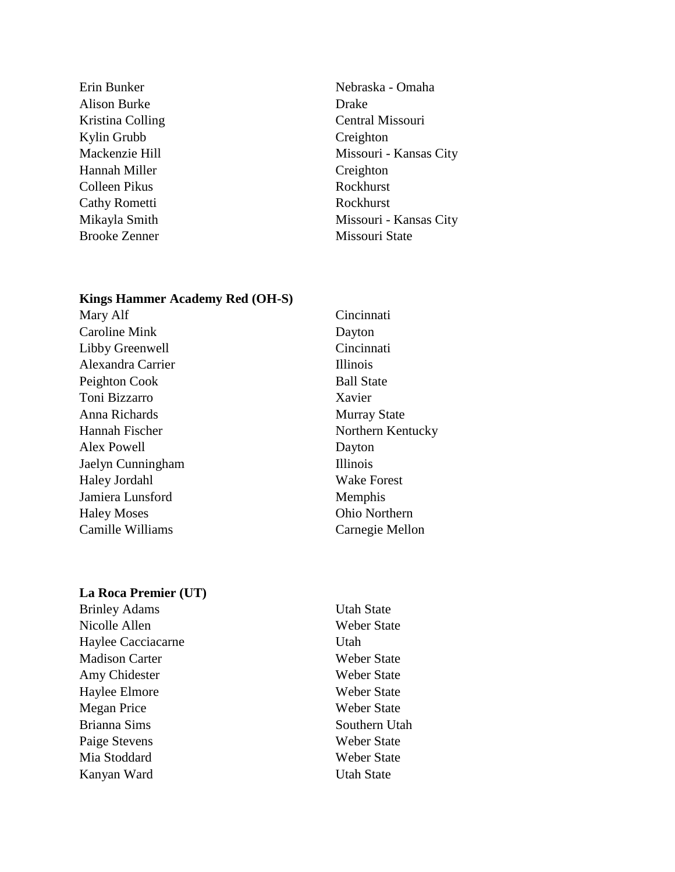- Alison Burke Drake Kylin Grubb Creighton Hannah Miller Creighton Colleen Pikus Rockhurst Cathy Rometti Rockhurst Brooke Zenner Missouri State
- Erin Bunker Nebraska Omaha Kristina Colling Central Missouri Mackenzie Hill Missouri - Kansas City Mikayla Smith Missouri - Kansas City

## **Kings Hammer Academy Red (OH-S)**

Mary Alf Cincinnati Caroline Mink Dayton Libby Greenwell Cincinnati Alexandra Carrier Illinois Peighton Cook Ball State Toni Bizzarro Xavier Anna Richards Murray State Hannah Fischer Northern Kentucky Alex Powell Dayton Jaelyn Cunningham Illinois Haley Jordahl Wake Forest Jamiera Lunsford Memphis Haley Moses Ohio Northern Camille Williams Carnegie Mellon

### **La Roca Premier (UT)**

Brinley Adams Utah State Nicolle Allen Weber State Haylee Cacciacarne Utah Madison Carter Weber State Amy Chidester Weber State Haylee Elmore Weber State Megan Price Weber State Brianna Sims Southern Utah Paige Stevens Weber State Mia Stoddard Weber State Kanyan Ward Utah State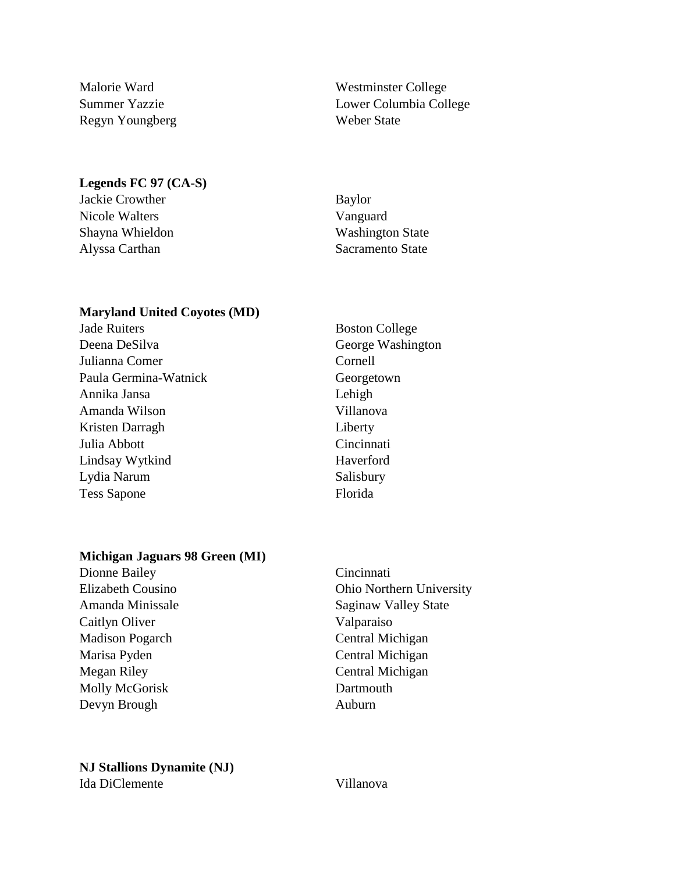Regyn Youngberg Weber State

Malorie Ward Westminster College Summer Yazzie Lower Columbia College

#### **Legends FC 97 (CA-S)**

Jackie Crowther Baylor Nicole Walters Vanguard

Shayna Whieldon Washington State Alyssa Carthan Sacramento State

## **Maryland United Coyotes (MD)**

Jade Ruiters Boston College Deena DeSilva George Washington Julianna Comer Cornell Paula Germina-Watnick Georgetown Annika Jansa Lehigh Amanda Wilson Villanova Kristen Darragh Liberty Julia Abbott Cincinnati Lindsay Wytkind Haverford Lydia Narum Salisbury Tess Sapone Florida

## **Michigan Jaguars 98 Green (MI)**

Dionne Bailey Cincinnati Caitlyn Oliver Valparaiso Madison Pogarch Central Michigan Marisa Pyden Central Michigan Megan Riley Central Michigan Molly McGorisk Dartmouth Devyn Brough **Auburn** 

Elizabeth Cousino Ohio Northern University Amanda Minissale Saginaw Valley State

# **NJ Stallions Dynamite (NJ)**

Ida DiClemente Villanova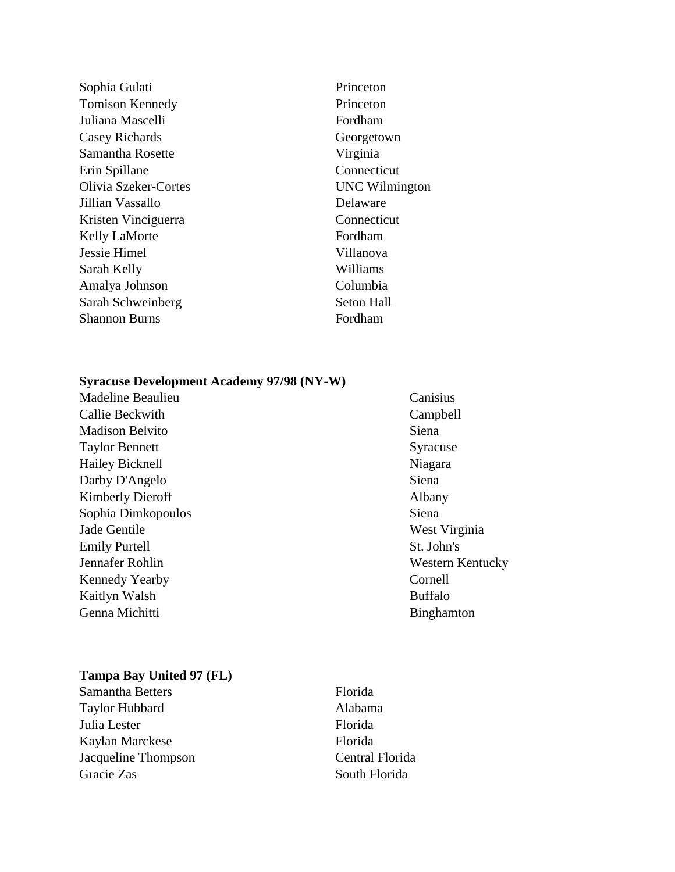Sophia Gulati Princeton Tomison Kennedy Princeton Juliana Mascelli Fordham Casey Richards Georgetown Samantha Rosette Virginia Erin Spillane Connecticut Olivia Szeker-Cortes UNC Wilmington Jillian Vassallo Delaware Kristen Vinciguerra Connecticut Kelly LaMorte Fordham Jessie Himel Villanova Sarah Kelly Williams Amalya Johnson Columbia Sarah Schweinberg Seton Hall Shannon Burns Fordham

## **Syracuse Development Academy 97/98 (NY-W)**

Madeline Beaulieu Canisius Callie Beckwith Campbell Madison Belvito Siena Taylor Bennett Syracuse Hailey Bicknell Niagara Darby D'Angelo Siena Kimberly Dieroff Albany Sophia Dimkopoulos Siena Jade Gentile West Virginia Emily Purtell St. John's Jennafer Rohlin Western Kentucky Kennedy Yearby Cornell Kaitlyn Walsh Buffalo Genna Michitti Binghamton

# **Tampa Bay United 97 (FL)**

Samantha Betters Florida Taylor Hubbard Alabama Julia Lester Florida Kaylan Marckese Florida Jacqueline Thompson Central Florida Gracie Zas South Florida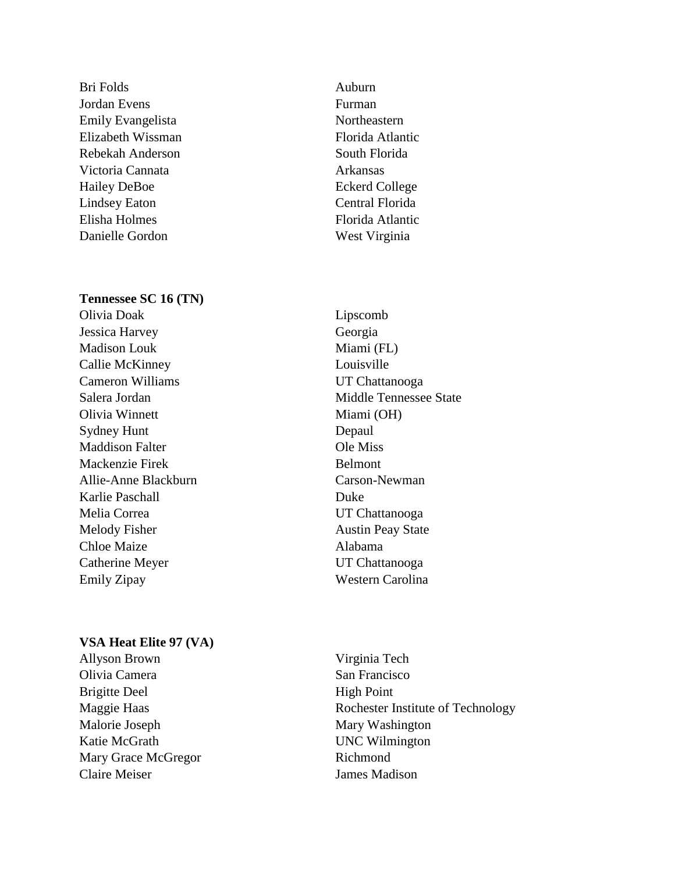Bri Folds Auburn Jordan Evens Furman Emily Evangelista Northeastern Elizabeth Wissman Florida Atlantic Rebekah Anderson South Florida Victoria Cannata **Arkansas** Hailey DeBoe **Eckerd College** Lindsey Eaton Central Florida Elisha Holmes Florida Atlantic Danielle Gordon West Virginia

# **Tennessee SC 16 (TN)**

- Olivia Doak Lipscomb Jessica Harvey Georgia Madison Louk Miami (FL) Callie McKinney Louisville Cameron Williams UT Chattanooga Olivia Winnett Miami (OH) Sydney Hunt Depaul Maddison Falter **Ole Miss** Mackenzie Firek Belmont Allie-Anne Blackburn Carson-Newman Karlie Paschall Duke Melia Correa UT Chattanooga Melody Fisher Austin Peay State Chloe Maize **Alabama** Catherine Meyer UT Chattanooga Emily Zipay Western Carolina
- 

Salera Jordan Middle Tennessee State

# **VSA Heat Elite 97 (VA)**

- Allyson Brown Virginia Tech Olivia Camera San Francisco Brigitte Deel High Point Malorie Joseph Mary Washington Katie McGrath UNC Wilmington Mary Grace McGregor Richmond Claire Meiser James Madison
- Maggie Haas Rochester Institute of Technology